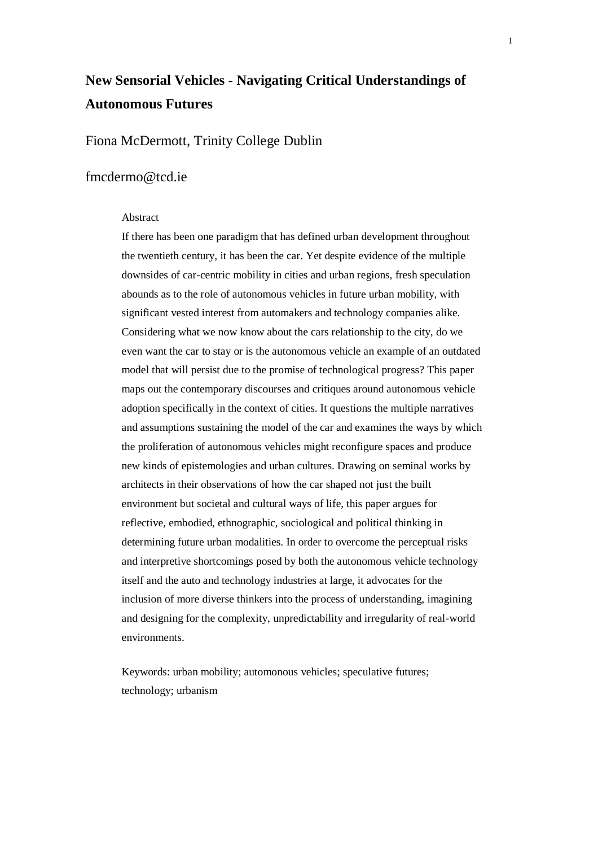# **New Sensorial Vehicles - Navigating Critical Understandings of Autonomous Futures**

Fiona McDermott, Trinity College Dublin

# fmcdermo@tcd.ie

#### Abstract

If there has been one paradigm that has defined urban development throughout the twentieth century, it has been the car. Yet despite evidence of the multiple downsides of car-centric mobility in cities and urban regions, fresh speculation abounds as to the role of autonomous vehicles in future urban mobility, with significant vested interest from automakers and technology companies alike. Considering what we now know about the cars relationship to the city, do we even want the car to stay or is the autonomous vehicle an example of an outdated model that will persist due to the promise of technological progress? This paper maps out the contemporary discourses and critiques around autonomous vehicle adoption specifically in the context of cities. It questions the multiple narratives and assumptions sustaining the model of the car and examines the ways by which the proliferation of autonomous vehicles might reconfigure spaces and produce new kinds of epistemologies and urban cultures. Drawing on seminal works by architects in their observations of how the car shaped not just the built environment but societal and cultural ways of life, this paper argues for reflective, embodied, ethnographic, sociological and political thinking in determining future urban modalities. In order to overcome the perceptual risks and interpretive shortcomings posed by both the autonomous vehicle technology itself and the auto and technology industries at large, it advocates for the inclusion of more diverse thinkers into the process of understanding, imagining and designing for the complexity, unpredictability and irregularity of real-world environments.

Keywords: urban mobility; automonous vehicles; speculative futures; technology; urbanism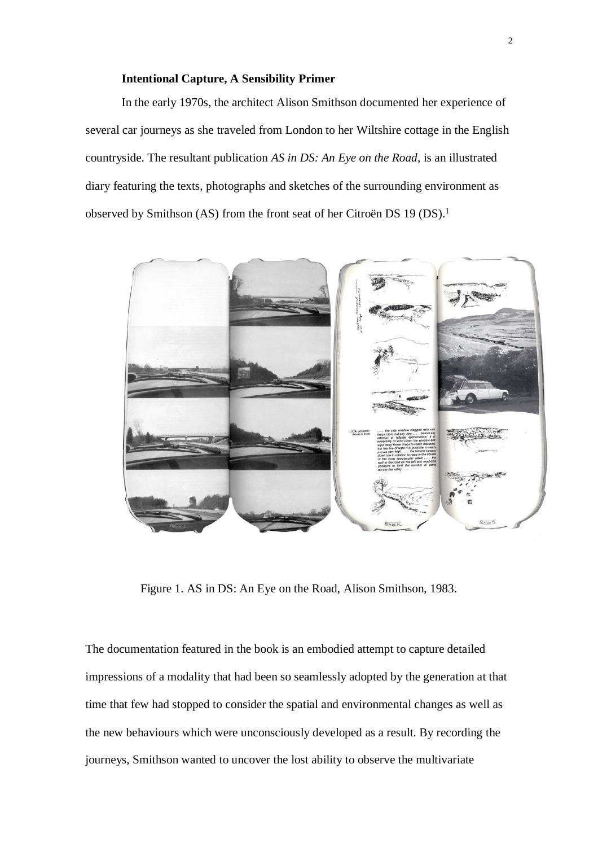## **Intentional Capture, A Sensibility Primer**

In the early 1970s, the architect Alison Smithson documented her experience of several car journeys as she traveled from London to her Wiltshire cottage in the English countryside. The resultant publication *AS in DS: An Eye on the Road*, is an illustrated diary featuring the texts, photographs and sketches of the surrounding environment as observed by Smithson (AS) from the front seat of her Citroën DS 19 (DS).<sup>1</sup>



Figure 1. AS in DS: An Eye on the Road, Alison Smithson, 1983.

The documentation featured in the book is an embodied attempt to capture detailed impressions of a modality that had been so seamlessly adopted by the generation at that time that few had stopped to consider the spatial and environmental changes as well as the new behaviours which were unconsciously developed as a result. By recording the journeys, Smithson wanted to uncover the lost ability to observe the multivariate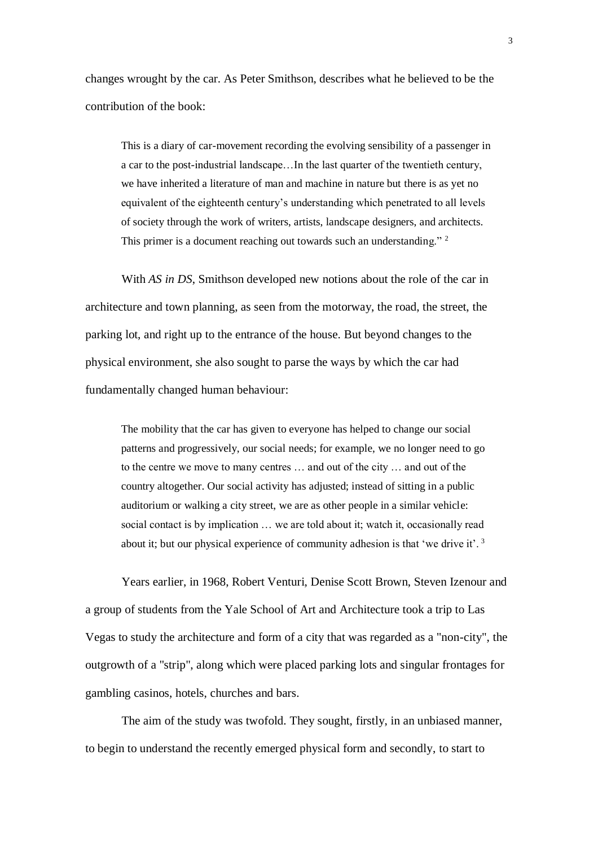changes wrought by the car. As Peter Smithson, describes what he believed to be the contribution of the book:

This is a diary of car-movement recording the evolving sensibility of a passenger in a car to the post-industrial landscape…In the last quarter of the twentieth century, we have inherited a literature of man and machine in nature but there is as yet no equivalent of the eighteenth century's understanding which penetrated to all levels of society through the work of writers, artists, landscape designers, and architects. This primer is a document reaching out towards such an understanding." <sup>2</sup>

With *AS in DS*, Smithson developed new notions about the role of the car in architecture and town planning, as seen from the motorway, the road, the street, the parking lot, and right up to the entrance of the house. But beyond changes to the physical environment, she also sought to parse the ways by which the car had fundamentally changed human behaviour:

The mobility that the car has given to everyone has helped to change our social patterns and progressively, our social needs; for example, we no longer need to go to the centre we move to many centres … and out of the city … and out of the country altogether. Our social activity has adjusted; instead of sitting in a public auditorium or walking a city street, we are as other people in a similar vehicle: social contact is by implication … we are told about it; watch it, occasionally read about it; but our physical experience of community adhesion is that 'we drive it'. <sup>3</sup>

Years earlier, in 1968, Robert Venturi, Denise Scott Brown, Steven Izenour and a group of students from the Yale School of Art and Architecture took a trip to Las Vegas to study the architecture and form of a city that was regarded as a "non-city", the outgrowth of a "strip", along which were placed parking lots and singular frontages for gambling casinos, hotels, churches and bars.

The aim of the study was twofold. They sought, firstly, in an unbiased manner, to begin to understand the recently emerged physical form and secondly, to start to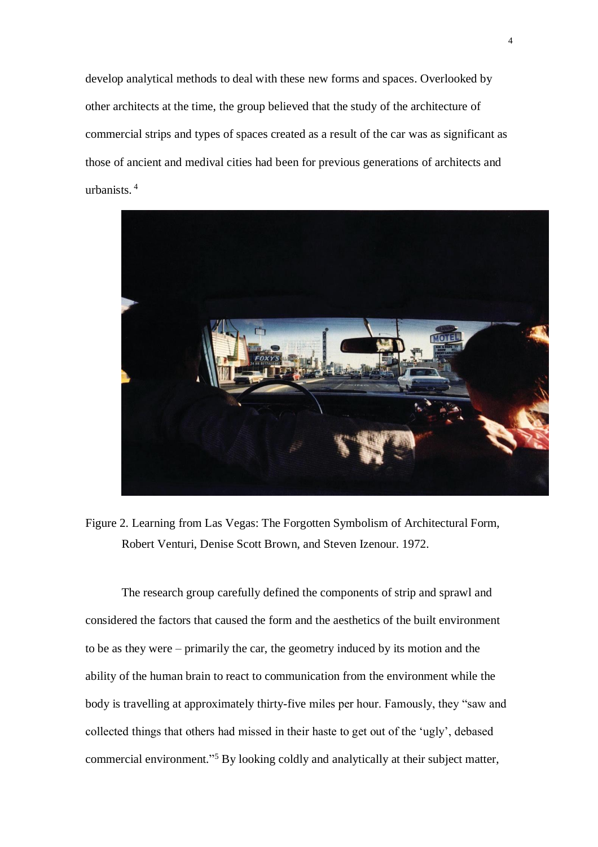develop analytical methods to deal with these new forms and spaces. Overlooked by other architects at the time, the group believed that the study of the architecture of commercial strips and types of spaces created as a result of the car was as significant as those of ancient and medival cities had been for previous generations of architects and urbanists. <sup>4</sup>



Figure 2. Learning from Las Vegas: The Forgotten Symbolism of Architectural Form, Robert Venturi, Denise Scott Brown, and Steven Izenour. 1972.

The research group carefully defined the components of strip and sprawl and considered the factors that caused the form and the aesthetics of the built environment to be as they were – primarily the car, the geometry induced by its motion and the ability of the human brain to react to communication from the environment while the body is travelling at approximately thirty-five miles per hour. Famously, they "saw and collected things that others had missed in their haste to get out of the 'ugly', debased commercial environment." <sup>5</sup> By looking coldly and analytically at their subject matter,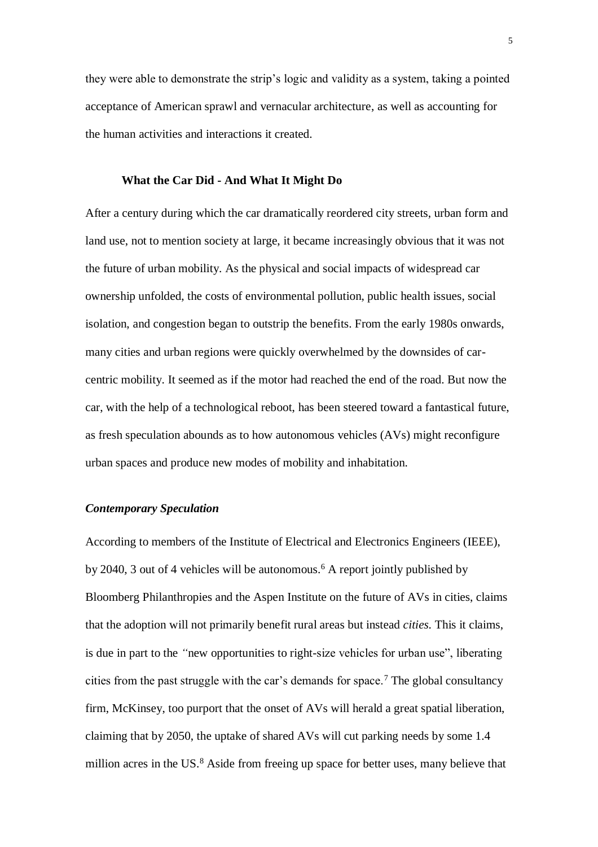they were able to demonstrate the strip's logic and validity as a system, taking a pointed acceptance of American sprawl and vernacular architecture, as well as accounting for the human activities and interactions it created.

#### **What the Car Did - And What It Might Do**

After a century during which the car dramatically reordered city streets, urban form and land use, not to mention society at large, it became increasingly obvious that it was not the future of urban mobility. As the physical and social impacts of widespread car ownership unfolded, the costs of environmental pollution, public health issues, social isolation, and congestion began to outstrip the benefits. From the early 1980s onwards, many cities and urban regions were quickly overwhelmed by the downsides of carcentric mobility. It seemed as if the motor had reached the end of the road. But now the car, with the help of a technological reboot, has been steered toward a fantastical future, as fresh speculation abounds as to how autonomous vehicles (AVs) might reconfigure urban spaces and produce new modes of mobility and inhabitation.

#### *Contemporary Speculation*

According to members of the Institute of Electrical and Electronics Engineers (IEEE), by 2040, 3 out of 4 vehicles will be autonomous.<sup>6</sup> A report jointly published by Bloomberg Philanthropies and the Aspen Institute on the future of AVs in cities, claims that the adoption will not primarily benefit rural areas but instead *cities.* This it claims, is due in part to the *"*new opportunities to right-size vehicles for urban use", liberating cities from the past struggle with the car's demands for space.<sup>7</sup> The global consultancy firm, McKinsey, too purport that the onset of AVs will herald a great spatial liberation, claiming that by 2050, the uptake of shared AVs will cut parking needs by some 1.4 million acres in the US.<sup>8</sup> Aside from freeing up space for better uses, many believe that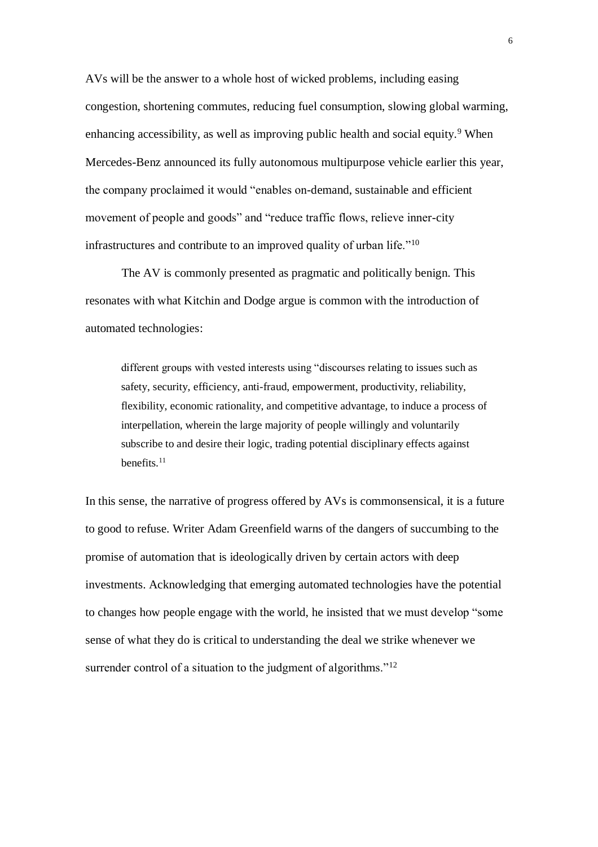AVs will be the answer to a whole host of wicked problems, including easing congestion, shortening commutes, reducing fuel consumption, slowing global warming, enhancing accessibility, as well as improving public health and social equity.<sup>9</sup> When Mercedes-Benz announced its fully autonomous multipurpose vehicle earlier this year, the company proclaimed it would "enables on-demand, sustainable and efficient movement of people and goods" and "reduce traffic flows, relieve inner-city infrastructures and contribute to an improved quality of urban life."<sup>10</sup>

The AV is commonly presented as pragmatic and politically benign. This resonates with what Kitchin and Dodge argue is common with the introduction of automated technologies:

different groups with vested interests using "discourses relating to issues such as safety, security, efficiency, anti-fraud, empowerment, productivity, reliability, flexibility, economic rationality, and competitive advantage, to induce a process of interpellation, wherein the large majority of people willingly and voluntarily subscribe to and desire their logic, trading potential disciplinary effects against benefits. $11$ 

In this sense, the narrative of progress offered by AVs is commonsensical, it is a future to good to refuse. Writer Adam Greenfield warns of the dangers of succumbing to the promise of automation that is ideologically driven by certain actors with deep investments. Acknowledging that emerging automated technologies have the potential to changes how people engage with the world, he insisted that we must develop "some sense of what they do is critical to understanding the deal we strike whenever we surrender control of a situation to the judgment of algorithms."<sup>12</sup>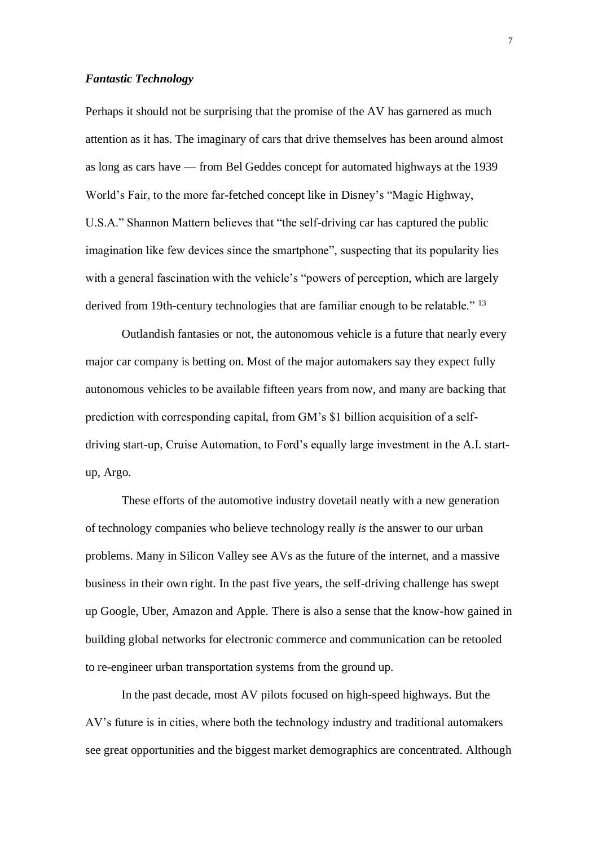# *Fantastic Technology*

Perhaps it should not be surprising that the promise of the AV has garnered as much attention as it has. The imaginary of cars that drive themselves has been around almost as long as cars have — from Bel Geddes concept for automated highways at the 1939 World's Fair, to the more far-fetched concept like in Disney's "Magic Highway, U.S.A." Shannon Mattern believes that "the self-driving car has captured the public imagination like few devices since the smartphone", suspecting that its popularity lies with a general fascination with the vehicle's "powers of perception, which are largely derived from 19th-century technologies that are familiar enough to be relatable."<sup>13</sup>

Outlandish fantasies or not, the autonomous vehicle is a future that nearly every major car company is betting on. Most of the major automakers say they expect fully autonomous vehicles to be available fifteen years from now, and many are backing that prediction with corresponding capital, from GM's \$1 billion acquisition of a selfdriving start-up, Cruise Automation, to Ford's equally large investment in the A.I. startup, Argo.

These efforts of the automotive industry dovetail neatly with a new generation of technology companies who believe technology really *is* the answer to our urban problems. Many in Silicon Valley see AVs as the future of the internet, and a massive business in their own right. In the past five years, the self-driving challenge has swept up Google, Uber, Amazon and Apple. There is also a sense that the know-how gained in building global networks for electronic commerce and communication can be retooled to re-engineer urban transportation systems from the ground up.

In the past decade, most AV pilots focused on high-speed highways. But the AV's future is in cities, where both the technology industry and traditional automakers see great opportunities and the biggest market demographics are concentrated. Although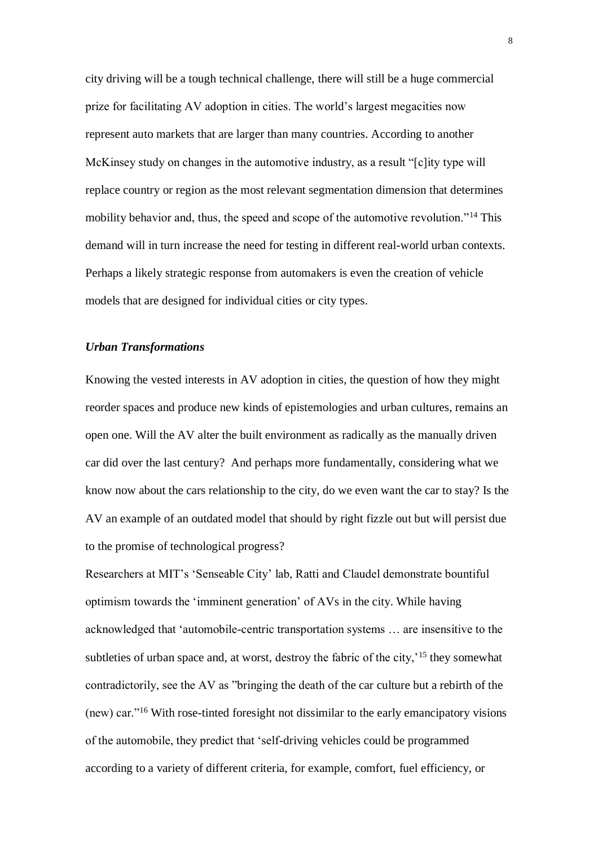city driving will be a tough technical challenge, there will still be a huge commercial prize for facilitating AV adoption in cities. The world's largest megacities now represent auto markets that are larger than many countries. According to another McKinsey study on changes in the automotive industry, as a result "[c]ity type will replace country or region as the most relevant segmentation dimension that determines mobility behavior and, thus, the speed and scope of the automotive revolution."<sup>14</sup> This demand will in turn increase the need for testing in different real-world urban contexts. Perhaps a likely strategic response from automakers is even the creation of vehicle models that are designed for individual cities or city types.

### *Urban Transformations*

Knowing the vested interests in AV adoption in cities, the question of how they might reorder spaces and produce new kinds of epistemologies and urban cultures, remains an open one. Will the AV alter the built environment as radically as the manually driven car did over the last century? And perhaps more fundamentally, considering what we know now about the cars relationship to the city, do we even want the car to stay? Is the AV an example of an outdated model that should by right fizzle out but will persist due to the promise of technological progress?

Researchers at MIT's 'Senseable City' lab, Ratti and Claudel demonstrate bountiful optimism towards the 'imminent generation' of AVs in the city. While having acknowledged that 'automobile-centric transportation systems … are insensitive to the subtleties of urban space and, at worst, destroy the fabric of the city,<sup> $15$ </sup> they somewhat contradictorily, see the AV as "bringing the death of the car culture but a rebirth of the (new) car."<sup>16</sup> With rose-tinted foresight not dissimilar to the early emancipatory visions of the automobile, they predict that 'self-driving vehicles could be programmed according to a variety of different criteria, for example, comfort, fuel efficiency, or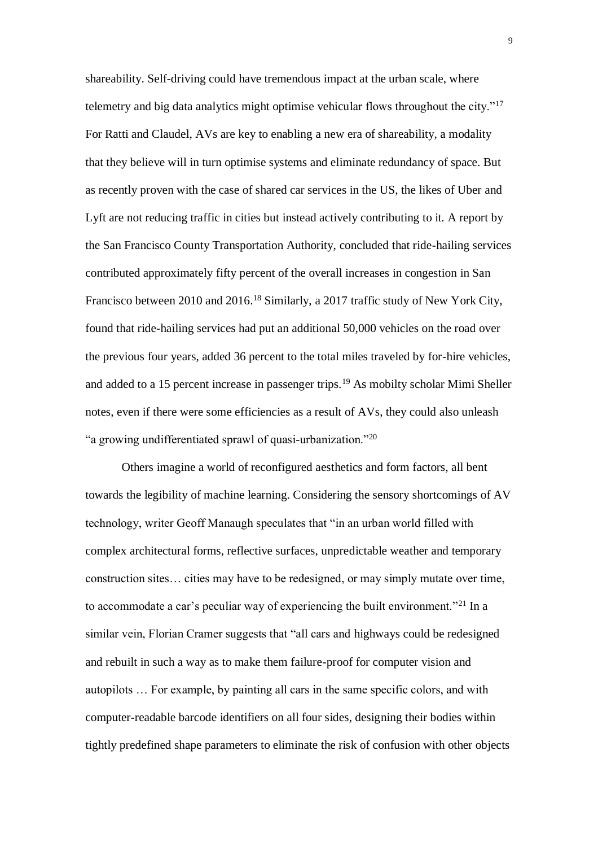shareability. Self-driving could have tremendous impact at the urban scale, where telemetry and big data analytics might optimise vehicular flows throughout the city."<sup>17</sup> For Ratti and Claudel, AVs are key to enabling a new era of shareability, a modality that they believe will in turn optimise systems and eliminate redundancy of space. But as recently proven with the case of shared car services in the US, the likes of Uber and Lyft are not reducing traffic in cities but instead actively contributing to it. A report by the San Francisco County Transportation Authority, concluded that ride-hailing services contributed approximately fifty percent of the overall increases in congestion in San Francisco between 2010 and 2016.<sup>18</sup> Similarly, a 2017 traffic study of New York City, found that ride-hailing services had put an additional 50,000 vehicles on the road over the previous four years, added 36 percent to the total miles traveled by for-hire vehicles, and added to a 15 percent increase in passenger trips.<sup>19</sup> As mobilty scholar Mimi Sheller notes, even if there were some efficiencies as a result of AVs, they could also unleash "a growing undifferentiated sprawl of quasi-urbanization."<sup>20</sup>

Others imagine a world of reconfigured aesthetics and form factors, all bent towards the legibility of machine learning. Considering the sensory shortcomings of AV technology, writer Geoff Manaugh speculates that "in an urban world filled with complex architectural forms, reflective surfaces, unpredictable weather and temporary construction sites… cities may have to be redesigned, or may simply mutate over time, to accommodate a car's peculiar way of experiencing the built environment."<sup>21</sup> In a similar vein, Florian Cramer suggests that "all cars and highways could be redesigned and rebuilt in such a way as to make them failure-proof for computer vision and autopilots … For example, by painting all cars in the same specific colors, and with computer-readable barcode identifiers on all four sides, designing their bodies within tightly predefined shape parameters to eliminate the risk of confusion with other objects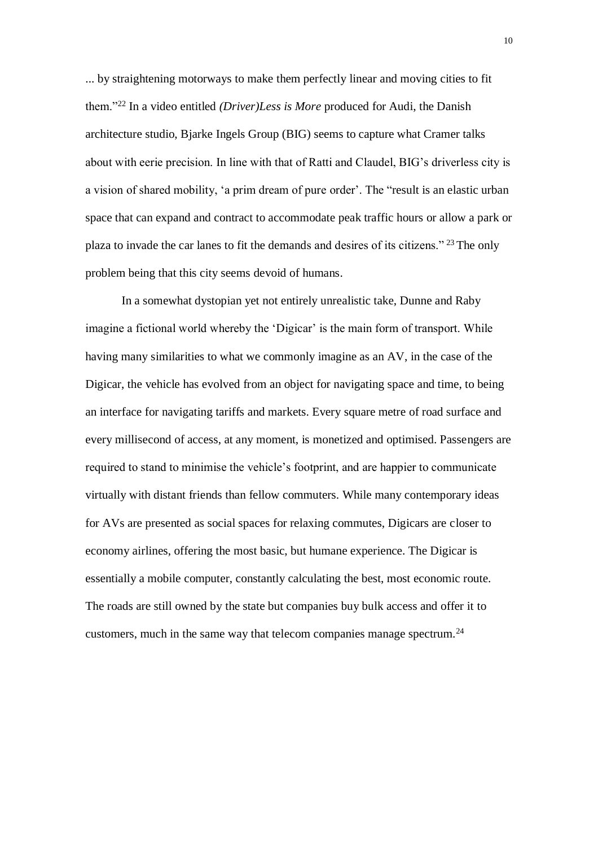... by straightening motorways to make them perfectly linear and moving cities to fit them."<sup>22</sup> In a video entitled *(Driver)Less is More* produced for Audi, the Danish architecture studio, Bjarke Ingels Group (BIG) seems to capture what Cramer talks about with eerie precision. In line with that of Ratti and Claudel, BIG's driverless city is a vision of shared mobility, 'a prim dream of pure order'. The "result is an elastic urban space that can expand and contract to accommodate peak traffic hours or allow a park or plaza to invade the car lanes to fit the demands and desires of its citizens." <sup>23</sup> The only problem being that this city seems devoid of humans.

In a somewhat dystopian yet not entirely unrealistic take, Dunne and Raby imagine a fictional world whereby the 'Digicar' is the main form of transport. While having many similarities to what we commonly imagine as an AV, in the case of the Digicar, the vehicle has evolved from an object for navigating space and time, to being an interface for navigating tariffs and markets. Every square metre of road surface and every millisecond of access, at any moment, is monetized and optimised. Passengers are required to stand to minimise the vehicle's footprint, and are happier to communicate virtually with distant friends than fellow commuters. While many contemporary ideas for AVs are presented as social spaces for relaxing commutes, Digicars are closer to economy airlines, offering the most basic, but humane experience. The Digicar is essentially a mobile computer, constantly calculating the best, most economic route. The roads are still owned by the state but companies buy bulk access and offer it to customers, much in the same way that telecom companies manage spectrum.24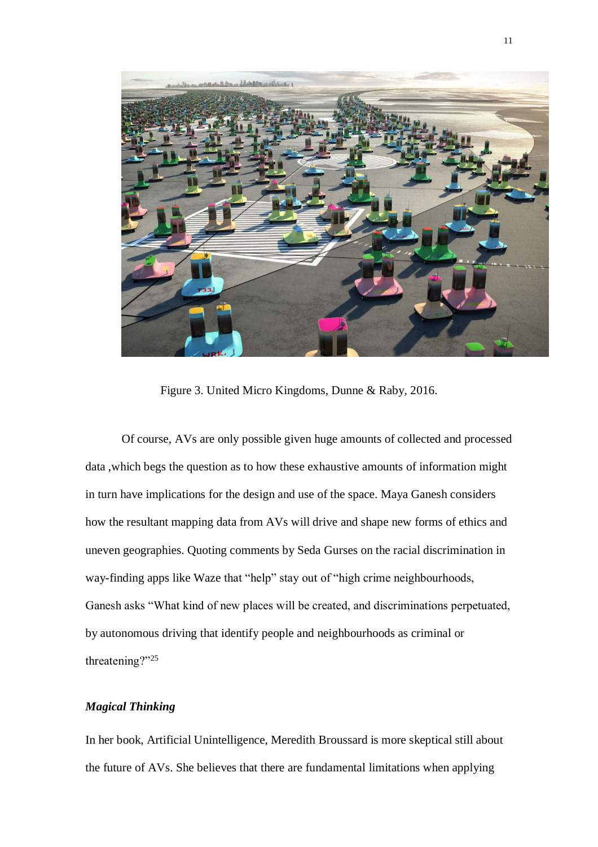

Figure 3. United Micro Kingdoms, Dunne & Raby, 2016.

Of course, AVs are only possible given huge amounts of collected and processed data ,which begs the question as to how these exhaustive amounts of information might in turn have implications for the design and use of the space. Maya Ganesh considers how the resultant mapping data from AVs will drive and shape new forms of ethics and uneven geographies. Quoting comments by Seda Gurses on the racial discrimination in way-finding apps like Waze that "help" stay out of "high crime neighbourhoods, Ganesh asks "What kind of new places will be created, and discriminations perpetuated, by autonomous driving that identify people and neighbourhoods as criminal or threatening?"<sup>25</sup>

# *Magical Thinking*

In her book, Artificial Unintelligence, Meredith Broussard is more skeptical still about the future of AVs. She believes that there are fundamental limitations when applying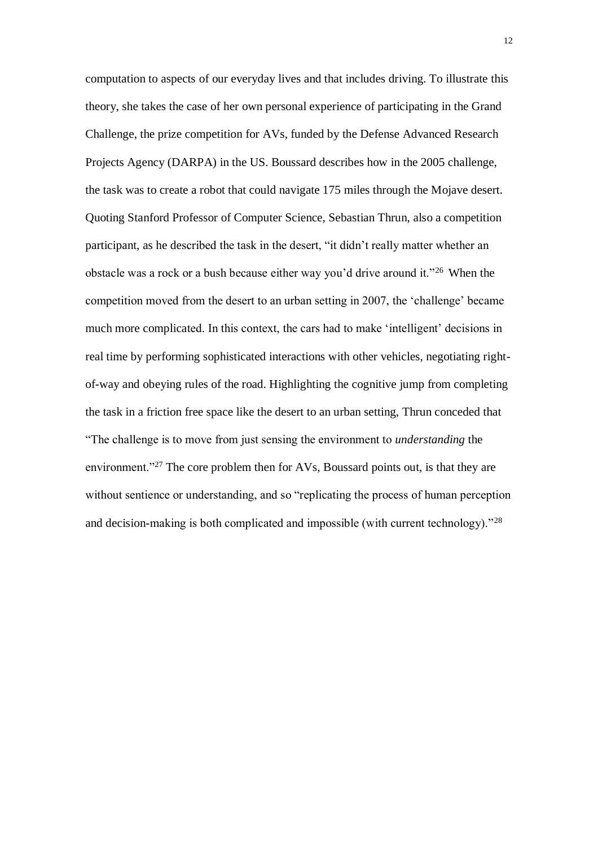computation to aspects of our everyday lives and that includes driving. To illustrate this theory, she takes the case of her own personal experience of participating in the Grand Challenge, the prize competition for AVs, funded by the Defense Advanced Research Projects Agency (DARPA) in the US. Boussard describes how in the 2005 challenge, the task was to create a robot that could navigate 175 miles through the Mojave desert. Quoting Stanford Professor of Computer Science, Sebastian Thrun, also a competition participant, as he described the task in the desert, "it didn't really matter whether an obstacle was a rock or a bush because either way you'd drive around it."<sup>26</sup> When the competition moved from the desert to an urban setting in 2007, the 'challenge' became much more complicated. In this context, the cars had to make 'intelligent' decisions in real time by performing sophisticated interactions with other vehicles, negotiating rightof-way and obeying rules of the road. Highlighting the cognitive jump from completing the task in a friction free space like the desert to an urban setting, Thrun conceded that "The challenge is to move from just sensing the environment to *understanding* the environment."<sup>27</sup> The core problem then for AVs, Boussard points out, is that they are without sentience or understanding, and so "replicating the process of human perception and decision-making is both complicated and impossible (with current technology)."28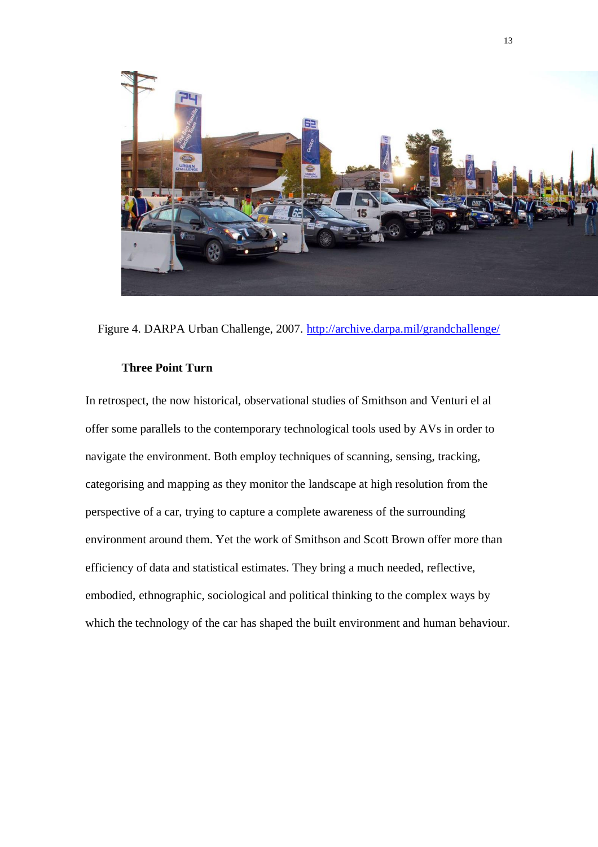

Figure 4. DARPA Urban Challenge, 2007. <http://archive.darpa.mil/grandchallenge/>

## **Three Point Turn**

In retrospect, the now historical, observational studies of Smithson and Venturi el al offer some parallels to the contemporary technological tools used by AVs in order to navigate the environment. Both employ techniques of scanning, sensing, tracking, categorising and mapping as they monitor the landscape at high resolution from the perspective of a car, trying to capture a complete awareness of the surrounding environment around them. Yet the work of Smithson and Scott Brown offer more than efficiency of data and statistical estimates. They bring a much needed, reflective, embodied, ethnographic, sociological and political thinking to the complex ways by which the technology of the car has shaped the built environment and human behaviour.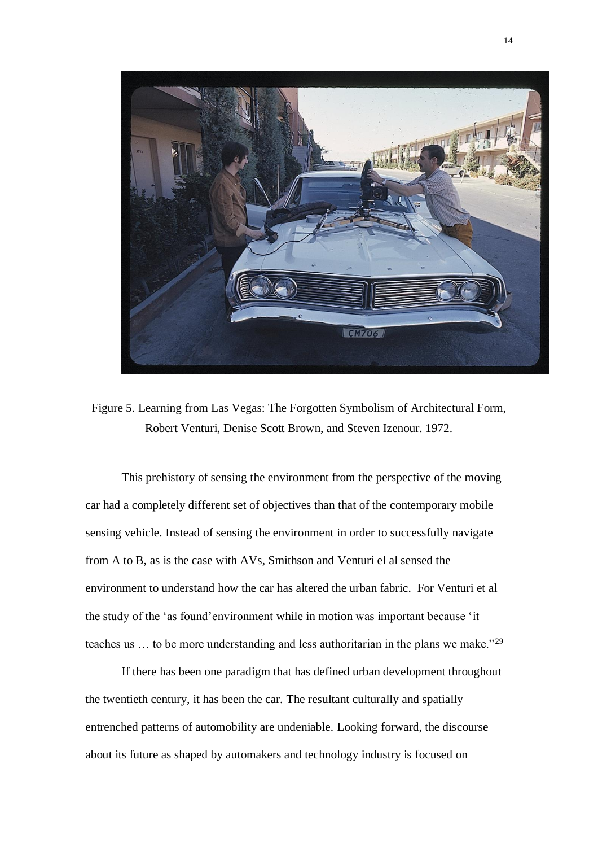

Figure 5. Learning from Las Vegas: The Forgotten Symbolism of Architectural Form, Robert Venturi, Denise Scott Brown, and Steven Izenour. 1972.

This prehistory of sensing the environment from the perspective of the moving car had a completely different set of objectives than that of the contemporary mobile sensing vehicle. Instead of sensing the environment in order to successfully navigate from A to B, as is the case with AVs, Smithson and Venturi el al sensed the environment to understand how the car has altered the urban fabric. For Venturi et al the study of the 'as found'environment while in motion was important because 'it teaches us … to be more understanding and less authoritarian in the plans we make."<sup>29</sup>

If there has been one paradigm that has defined urban development throughout the twentieth century, it has been the car. The resultant culturally and spatially entrenched patterns of automobility are undeniable. Looking forward, the discourse about its future as shaped by automakers and technology industry is focused on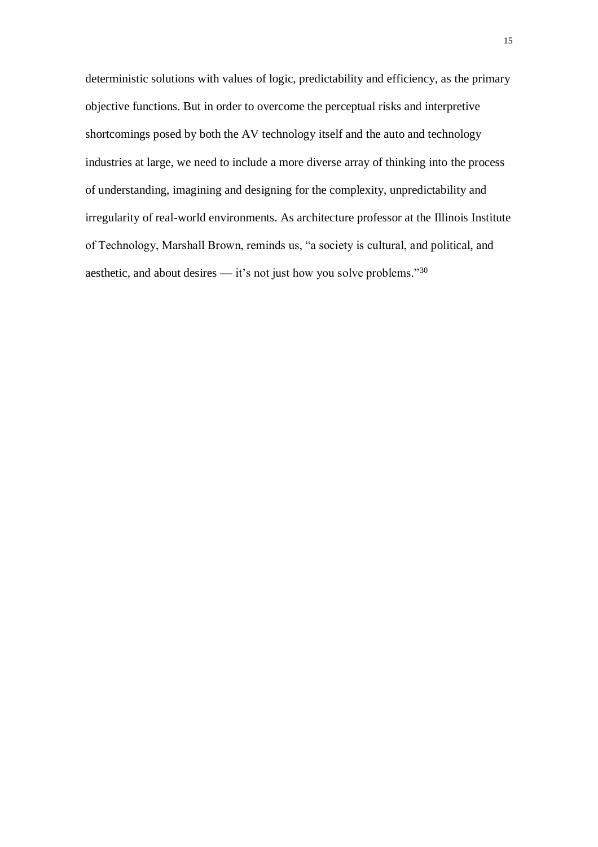deterministic solutions with values of logic, predictability and efficiency, as the primary objective functions. But in order to overcome the perceptual risks and interpretive shortcomings posed by both the AV technology itself and the auto and technology industries at large, we need to include a more diverse array of thinking into the process of understanding, imagining and designing for the complexity, unpredictability and irregularity of real-world environments. As architecture professor at the Illinois Institute of Technology, Marshall Brown, reminds us, "a society is cultural, and political, and aesthetic, and about desires — it's not just how you solve problems."<sup>30</sup>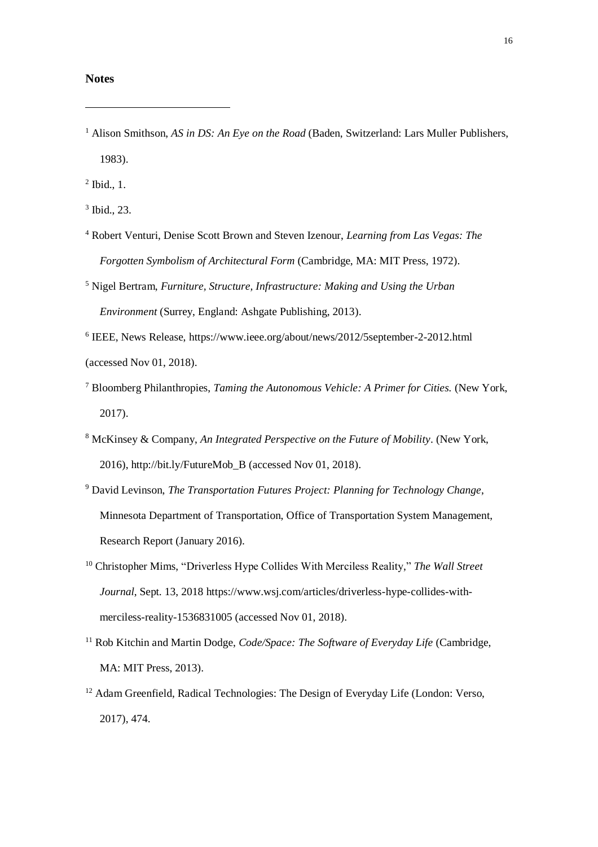#### **Notes**

<sup>1</sup> Alison Smithson, *AS in DS: An Eye on the Road* (Baden, Switzerland: Lars Muller Publishers, 1983).

 $<sup>2</sup>$  Ibid., 1.</sup>

3 Ibid., 23.

- <sup>4</sup> Robert Venturi, Denise Scott Brown and Steven Izenour, *Learning from Las Vegas: The Forgotten Symbolism of Architectural Form* (Cambridge, MA: MIT Press, 1972).
- <sup>5</sup> Nigel Bertram, *Furniture, Structure, Infrastructure: Making and Using the Urban Environment* (Surrey, England: Ashgate Publishing, 2013).
- 6 IEEE, News Release,<https://www.ieee.org/about/news/2012/5september-2-2012.html> (accessed Nov 01, 2018).
- <sup>7</sup> Bloomberg Philanthropies, *Taming the Autonomous Vehicle: A Primer for Cities.* (New York, 2017).
- <sup>8</sup> McKinsey & Company, *An Integrated Perspective on the Future of Mobility*. (New York, 2016), [http://bit.ly/FutureMob\\_B](http://bit.ly/FutureMob_B) (accessed Nov 01, 2018).
- <sup>9</sup> David Levinson, *The Transportation Futures Project: Planning for Technology Change*, Minnesota Department of Transportation, Office of Transportation System Management, Research Report (January 2016).
- <sup>10</sup> Christopher Mims, "Driverless Hype Collides With Merciless Reality," *The Wall Street Journal*, Sept. 13, 2018 [https://www.wsj.com/articles/driverless-hype-collides-with](https://www.wsj.com/articles/driverless-hype-collides-with-merciless-reality-1536831005)[merciless-reality-1536831005](https://www.wsj.com/articles/driverless-hype-collides-with-merciless-reality-1536831005) (accessed Nov 01, 2018).
- <sup>11</sup> Rob Kitchin and Martin Dodge, *Code/Space: The Software of Everyday Life* (Cambridge, MA: MIT Press, 2013).
- <sup>12</sup> Adam Greenfield, Radical Technologies: The Design of Everyday Life (London: Verso, 2017), 474.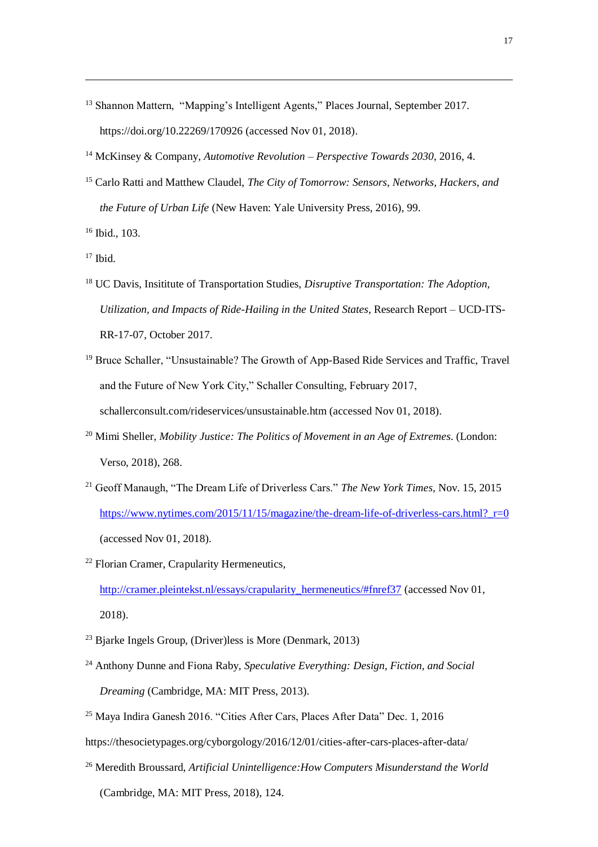- <sup>13</sup> Shannon Mattern, "Mapping's Intelligent Agents," Places Journal, September 2017. <https://doi.org/10.22269/170926> (accessed Nov 01, 2018).
- <sup>14</sup> McKinsey & Company, *Automotive Revolution – Perspective Towards 2030*, 2016, 4.
- <sup>15</sup> Carlo Ratti and Matthew Claudel, *The City of Tomorrow: Sensors, Networks, Hackers, and the Future of Urban Life* (New Haven: Yale University Press, 2016), 99.

<sup>16</sup> Ibid., 103.

 $17$  Ibid.

- <sup>18</sup> UC Davis, Insititute of Transportation Studies, *Disruptive Transportation: The Adoption, Utilization, and Impacts of Ride-Hailing in the United States*, Research Report – UCD-ITS-RR-17-07, October 2017.
- <sup>19</sup> Bruce Schaller, "Unsustainable? The Growth of App-Based Ride Services and Traffic, Travel and the Future of New York City," Schaller Consulting, February 2017, schallerconsult.com/rideservices/unsustainable.htm (accessed Nov 01, 2018).
- <sup>20</sup> Mimi Sheller, *Mobility Justice: The Politics of Movement in an Age of Extremes.* (London: Verso, 2018), 268.
- <sup>21</sup> Geoff Manaugh, "The Dream Life of Driverless Cars." *The New York Times,* Nov. 15, 2015 https://www.nytimes.com/2015/11/15/magazine/the-dream-life-of-driverless-cars.html? r=0 (accessed Nov 01, 2018).
	- [http://cramer.pleintekst.nl/essays/crapularity\\_hermeneutics/#fnref37](http://cramer.pleintekst.nl/essays/crapularity_hermeneutics/#fnref37) (accessed Nov 01, 2018).
- $23$  Bjarke Ingels Group, (Driver)less is More (Denmark, 2013)

<sup>22</sup> Florian Cramer, Crapularity Hermeneutics,

- <sup>24</sup> Anthony Dunne and Fiona Raby, *Speculative Everything: Design, Fiction, and Social Dreaming* (Cambridge, MA: MIT Press, 2013).
- <sup>25</sup> Maya Indira Ganesh 2016. "Cities After Cars, Places After Data" Dec. 1, 2016
- https://thesocietypages.org/cyborgology/2016/12/01/cities-after-cars-places-after-data/
- <sup>26</sup> Meredith Broussard, *Artificial Unintelligence:How Computers Misunderstand the World* (Cambridge, MA: MIT Press, 2018), 124.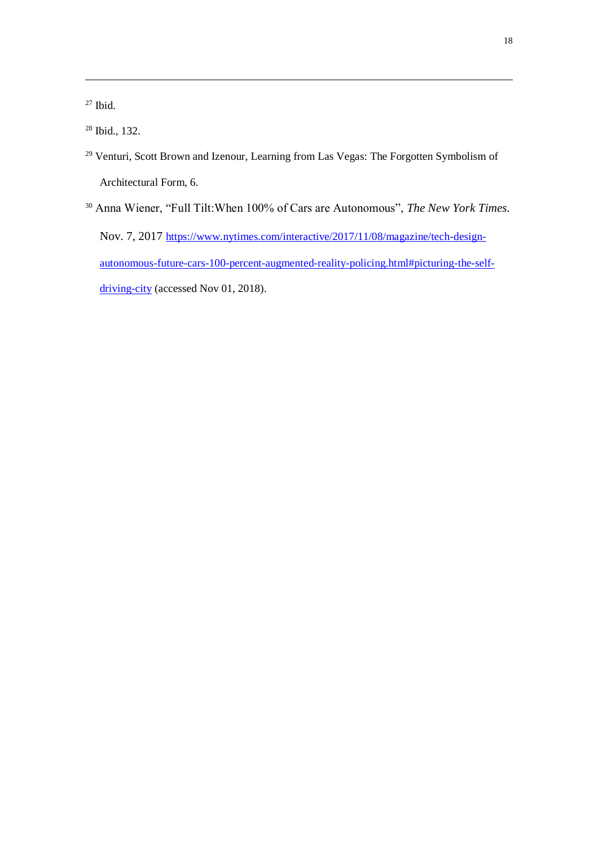$27$  Ibid.

<sup>28</sup> Ibid., 132.

- <sup>29</sup> Venturi, Scott Brown and Izenour, Learning from Las Vegas: The Forgotten Symbolism of Architectural Form, 6.
- <sup>30</sup> Anna Wiener, "Full Tilt:When 100% of Cars are Autonomous", *The New York Times.*  Nov. 7, 2017 [https://www.nytimes.com/interactive/2017/11/08/magazine/tech-design](https://www.nytimes.com/interactive/2017/11/08/magazine/tech-design-autonomous-future-cars-100-percent-augmented-reality-policing.html#picturing-the-self-driving-city)[autonomous-future-cars-100-percent-augmented-reality-policing.html#picturing-the-self](https://www.nytimes.com/interactive/2017/11/08/magazine/tech-design-autonomous-future-cars-100-percent-augmented-reality-policing.html#picturing-the-self-driving-city)[driving-city](https://www.nytimes.com/interactive/2017/11/08/magazine/tech-design-autonomous-future-cars-100-percent-augmented-reality-policing.html#picturing-the-self-driving-city) (accessed Nov 01, 2018).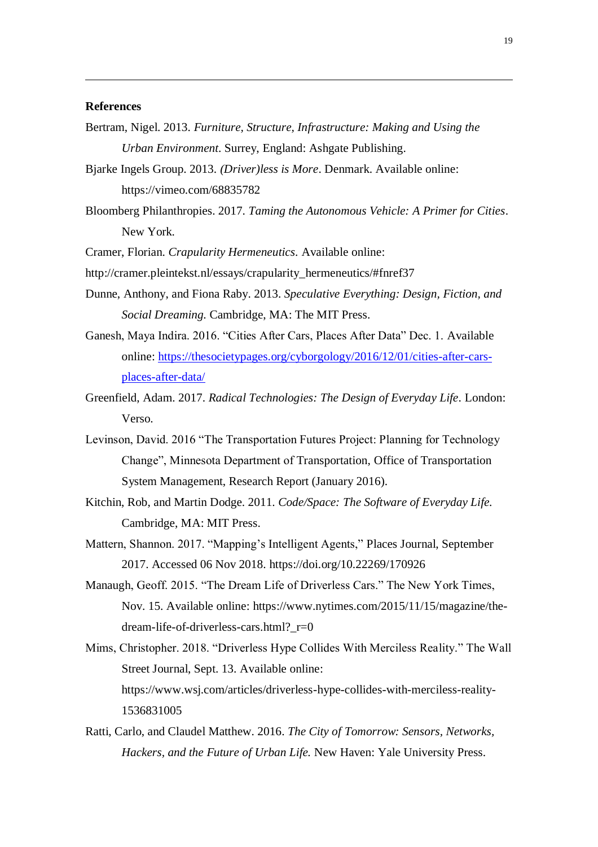# **References**

- Bertram, Nigel. 2013. *Furniture, Structure, Infrastructure: Making and Using the Urban Environment*. Surrey, England: Ashgate Publishing.
- Bjarke Ingels Group. 2013. *(Driver)less is More*. Denmark. Available online: https://vimeo.com/68835782
- Bloomberg Philanthropies. 2017. *Taming the Autonomous Vehicle: A Primer for Cities*. New York.

Cramer, Florian. *Crapularity Hermeneutics.* Available online:

http://cramer.pleintekst.nl/essays/crapularity\_hermeneutics/#fnref37

- Dunne, Anthony, and Fiona Raby. 2013. *Speculative Everything: Design, Fiction, and Social Dreaming.* Cambridge, MA: The MIT Press.
- Ganesh, Maya Indira. 2016. "Cities After Cars, Places After Data" Dec. 1. Available online: [https://thesocietypages.org/cyborgology/2016/12/01/cities-after-cars](https://thesocietypages.org/cyborgology/2016/12/01/cities-after-cars-places-after-data/)[places-after-data/](https://thesocietypages.org/cyborgology/2016/12/01/cities-after-cars-places-after-data/)
- Greenfield, Adam. 2017. *Radical Technologies: The Design of Everyday Life*. London: Verso.
- Levinson, David. 2016 "The Transportation Futures Project: Planning for Technology Change", Minnesota Department of Transportation, Office of Transportation System Management, Research Report (January 2016).
- Kitchin, Rob, and Martin Dodge. 2011. *Code/Space: The Software of Everyday Life.* Cambridge, MA: MIT Press.
- Mattern, Shannon. 2017. "Mapping's Intelligent Agents," Places Journal, September 2017. Accessed 06 Nov 2018. <https://doi.org/10.22269/170926>
- Manaugh, Geoff. 2015. "The Dream Life of Driverless Cars." The New York Times, Nov. 15. Available online: https://www.nytimes.com/2015/11/15/magazine/thedream-life-of-driverless-cars.html? r=0
- Mims, Christopher. 2018. "Driverless Hype Collides With Merciless Reality." The Wall Street Journal, Sept. 13. Available online: [https://www.wsj.com/articles/driverless-hype-collides-with-merciless-reality-](https://www.wsj.com/articles/driverless-hype-collides-with-merciless-reality-1536831005)[1536831005](https://www.wsj.com/articles/driverless-hype-collides-with-merciless-reality-1536831005)
- Ratti, Carlo, and Claudel Matthew. 2016. *The City of Tomorrow: Sensors, Networks, Hackers, and the Future of Urban Life.* New Haven: Yale University Press.